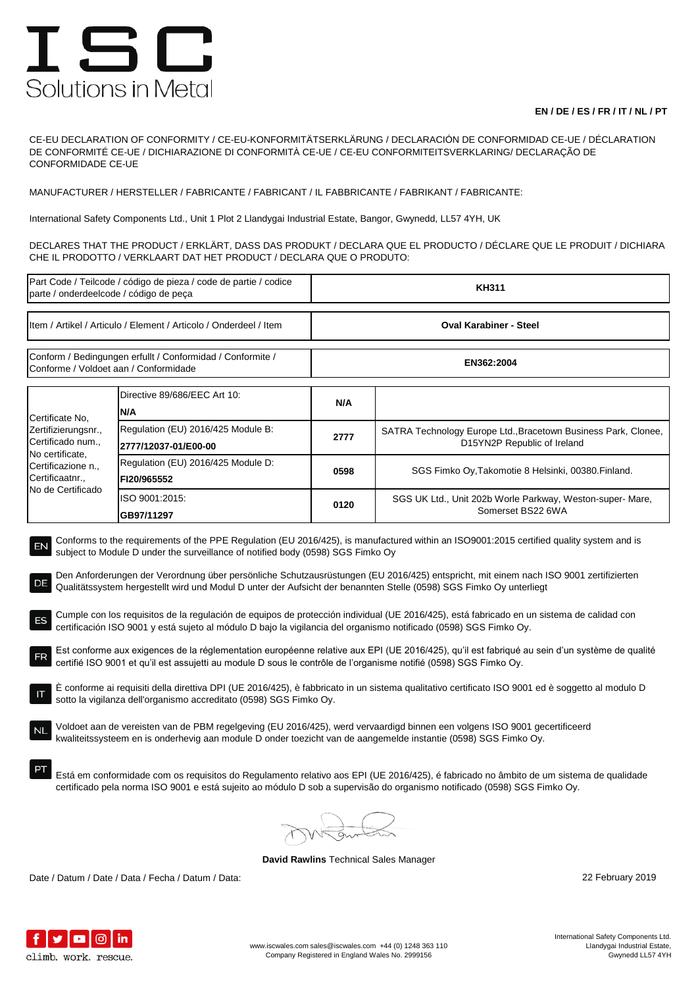## ISC Solutions in Metal

## **EN / DE / ES / FR / IT / NL / PT**

CE-EU DECLARATION OF CONFORMITY / CE-EU-KONFORMITÄTSERKLÄRUNG / DECLARACIÓN DE CONFORMIDAD CE-UE / DÉCLARATION DE CONFORMITÉ CE-UE / DICHIARAZIONE DI CONFORMITÀ CE-UE / CE-EU CONFORMITEITSVERKLARING/ DECLARAÇÃO DE CONFORMIDADE CE-UE

MANUFACTURER / HERSTELLER / FABRICANTE / FABRICANT / IL FABBRICANTE / FABRIKANT / FABRICANTE:

International Safety Components Ltd., Unit 1 Plot 2 Llandygai Industrial Estate, Bangor, Gwynedd, LL57 4YH, UK

DECLARES THAT THE PRODUCT / ERKLÄRT, DASS DAS PRODUKT / DECLARA QUE EL PRODUCTO / DÉCLARE QUE LE PRODUIT / DICHIARA CHE IL PRODOTTO / VERKLAART DAT HET PRODUCT / DECLARA QUE O PRODUTO:

| Part Code / Teilcode / código de pieza / code de partie / codice<br>parte / onderdeelcode / código de peça                                                                                                                                                                                                                                                                                                                                                                                                                                                                                                                                                                                                                                                                                                                                                                                                                                                                                                                                                                                                                                                                                                                                                                                                                                                                                                                                                                                                                                                        |                                                            | <b>KH311</b>                  |                                                                                               |  |  |
|-------------------------------------------------------------------------------------------------------------------------------------------------------------------------------------------------------------------------------------------------------------------------------------------------------------------------------------------------------------------------------------------------------------------------------------------------------------------------------------------------------------------------------------------------------------------------------------------------------------------------------------------------------------------------------------------------------------------------------------------------------------------------------------------------------------------------------------------------------------------------------------------------------------------------------------------------------------------------------------------------------------------------------------------------------------------------------------------------------------------------------------------------------------------------------------------------------------------------------------------------------------------------------------------------------------------------------------------------------------------------------------------------------------------------------------------------------------------------------------------------------------------------------------------------------------------|------------------------------------------------------------|-------------------------------|-----------------------------------------------------------------------------------------------|--|--|
| Item / Artikel / Articulo / Element / Articolo / Onderdeel / Item                                                                                                                                                                                                                                                                                                                                                                                                                                                                                                                                                                                                                                                                                                                                                                                                                                                                                                                                                                                                                                                                                                                                                                                                                                                                                                                                                                                                                                                                                                 |                                                            | <b>Oval Karabiner - Steel</b> |                                                                                               |  |  |
| Conform / Bedingungen erfullt / Conformidad / Conformite /<br>Conforme / Voldoet aan / Conformidade                                                                                                                                                                                                                                                                                                                                                                                                                                                                                                                                                                                                                                                                                                                                                                                                                                                                                                                                                                                                                                                                                                                                                                                                                                                                                                                                                                                                                                                               |                                                            | EN362:2004                    |                                                                                               |  |  |
| Certificate No,<br>Zertifizierungsnr.,<br>Certificado num.,<br>No certificate,<br>Certificazione n.,<br>Certificaatnr.,<br>No de Certificado                                                                                                                                                                                                                                                                                                                                                                                                                                                                                                                                                                                                                                                                                                                                                                                                                                                                                                                                                                                                                                                                                                                                                                                                                                                                                                                                                                                                                      | Directive 89/686/EEC Art 10:<br>N/A                        | N/A                           |                                                                                               |  |  |
|                                                                                                                                                                                                                                                                                                                                                                                                                                                                                                                                                                                                                                                                                                                                                                                                                                                                                                                                                                                                                                                                                                                                                                                                                                                                                                                                                                                                                                                                                                                                                                   | Regulation (EU) 2016/425 Module B:<br>2777/12037-01/E00-00 | 2777                          | SATRA Technology Europe Ltd., Bracetown Business Park, Clonee,<br>D15YN2P Republic of Ireland |  |  |
|                                                                                                                                                                                                                                                                                                                                                                                                                                                                                                                                                                                                                                                                                                                                                                                                                                                                                                                                                                                                                                                                                                                                                                                                                                                                                                                                                                                                                                                                                                                                                                   | Regulation (EU) 2016/425 Module D:<br>FI20/965552          | 0598                          | SGS Fimko Oy, Takomotie 8 Helsinki, 00380. Finland.                                           |  |  |
|                                                                                                                                                                                                                                                                                                                                                                                                                                                                                                                                                                                                                                                                                                                                                                                                                                                                                                                                                                                                                                                                                                                                                                                                                                                                                                                                                                                                                                                                                                                                                                   | ISO 9001:2015:<br>GB97/11297                               | 0120                          | SGS UK Ltd., Unit 202b Worle Parkway, Weston-super-Mare,<br>Somerset BS22 6WA                 |  |  |
| Den Anforderungen der Verordnung über persönliche Schutzausrüstungen (EU 2016/425) entspricht, mit einem nach ISO 9001 zertifizierten<br>DE<br>Qualitätssystem hergestellt wird und Modul D unter der Aufsicht der benannten Stelle (0598) SGS Fimko Oy unterliegt<br>Cumple con los requisitos de la regulación de equipos de protección individual (UE 2016/425), está fabricado en un sistema de calidad con<br>certificación ISO 9001 y está sujeto al módulo D bajo la vigilancia del organismo notificado (0598) SGS Fimko Oy.<br>Est conforme aux exigences de la réglementation européenne relative aux EPI (UE 2016/425), qu'il est fabriqué au sein d'un système de qualité<br>certifié ISO 9001 et qu'il est assujetti au module D sous le contrôle de l'organisme notifié (0598) SGS Fimko Oy.<br>È conforme ai requisiti della direttiva DPI (UE 2016/425), è fabbricato in un sistema qualitativo certificato ISO 9001 ed è soggetto al modulo D<br>sotto la vigilanza dell'organismo accreditato (0598) SGS Fimko Oy.<br>Voldoet aan de vereisten van de PBM regelgeving (EU 2016/425), werd vervaardigd binnen een volgens ISO 9001 gecertificeerd<br>NL<br>kwaliteitssysteem en is onderhevig aan module D onder toezicht van de aangemelde instantie (0598) SGS Fimko Oy.<br>Está em conformidade com os requisitos do Regulamento relativo aos EPI (UE 2016/425), é fabricado no âmbito de um sistema de qualidade<br>certificado pela norma ISO 9001 e está sujeito ao módulo D sob a supervisão do organismo notificado (0598) SGS Fimko Oy. |                                                            |                               |                                                                                               |  |  |
|                                                                                                                                                                                                                                                                                                                                                                                                                                                                                                                                                                                                                                                                                                                                                                                                                                                                                                                                                                                                                                                                                                                                                                                                                                                                                                                                                                                                                                                                                                                                                                   |                                                            |                               |                                                                                               |  |  |

**David Rawlins** Technical Sales Manager

Date / Datum / Date / Data / Fecha / Datum / Data: 22 February 2019